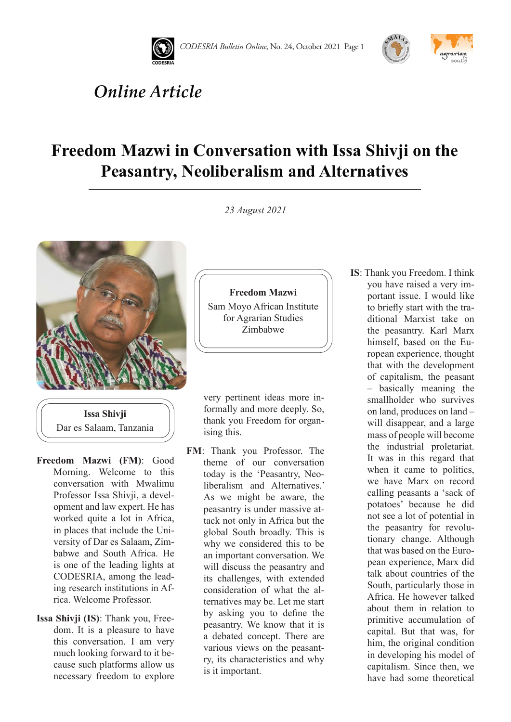





## *Online Article*

## **Freedom Mazwi in Conversation with Issa Shivji on the Peasantry, Neoliberalism and Alternatives**

*23 August 2021* 

**Freedom Mazwi** Sam Moyo African Institute for Agrarian Studies Zimbabwe



**Issa Shivji** Dar es Salaam, Tanzania

- **Freedom Mazwi (FM)**: Good Morning. Welcome to this conversation with Mwalimu Professor Issa Shivji, a development and law expert. He has worked quite a lot in Africa, in places that include the University of Dar es Salaam, Zimbabwe and South Africa. He is one of the leading lights at CODESRIA, among the leading research institutions in Africa. Welcome Professor.
- **Issa Shivji (IS)**: Thank you, Freedom. It is a pleasure to have this conversation. I am very much looking forward to it because such platforms allow us necessary freedom to explore

very pertinent ideas more informally and more deeply. So, thank you Freedom for organising this.

- **FM**: Thank you Professor. The theme of our conversation today is the 'Peasantry, Neoliberalism and Alternatives.' As we might be aware, the peasantry is under massive attack not only in Africa but the global South broadly. This is why we considered this to be an important conversation. We will discuss the peasantry and its challenges, with extended consideration of what the alternatives may be. Let me start by asking you to define the peasantry. We know that it is a debated concept. There are various views on the peasantry, its characteristics and why is it important.
- **IS**: Thank you Freedom. I think you have raised a very important issue. I would like to briefly start with the traditional Marxist take on the peasantry. Karl Marx himself, based on the European experience, thought that with the development of capitalism, the peasant – basically meaning the smallholder who survives on land, produces on land – will disappear, and a large mass of people will become the industrial proletariat. It was in this regard that when it came to politics, we have Marx on record calling peasants a 'sack of potatoes' because he did not see a lot of potential in the peasantry for revolutionary change. Although that was based on the European experience, Marx did talk about countries of the South, particularly those in Africa. He however talked about them in relation to primitive accumulation of capital. But that was, for him, the original condition in developing his model of capitalism. Since then, we have had some theoretical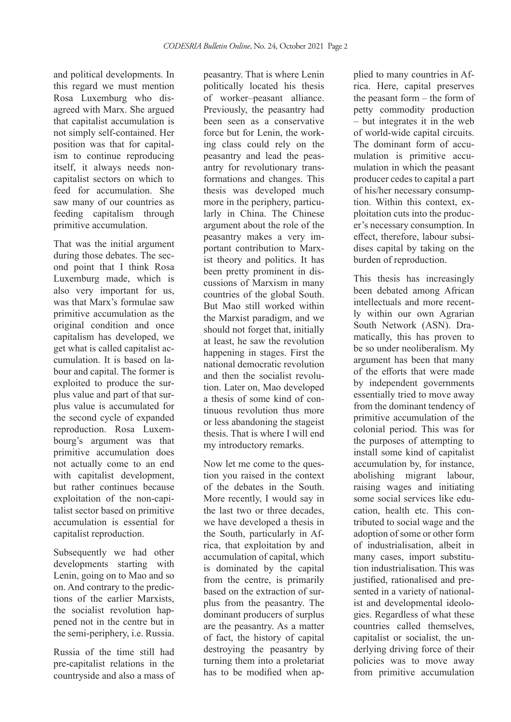and political developments. In this regard we must mention Rosa Luxemburg who disagreed with Marx. She argued that capitalist accumulation is not simply self-contained. Her position was that for capitalism to continue reproducing itself, it always needs noncapitalist sectors on which to feed for accumulation. She saw many of our countries as feeding capitalism through primitive accumulation.

That was the initial argument during those debates. The second point that I think Rosa Luxemburg made, which is also very important for us, was that Marx's formulae saw primitive accumulation as the original condition and once capitalism has developed, we get what is called capitalist accumulation. It is based on labour and capital. The former is exploited to produce the surplus value and part of that surplus value is accumulated for the second cycle of expanded reproduction. Rosa Luxembourg's argument was that primitive accumulation does not actually come to an end with capitalist development, but rather continues because exploitation of the non-capitalist sector based on primitive accumulation is essential for capitalist reproduction.

Subsequently we had other developments starting with Lenin, going on to Mao and so on. And contrary to the predictions of the earlier Marxists, the socialist revolution happened not in the centre but in the semi-periphery, i.e. Russia.

Russia of the time still had pre-capitalist relations in the countryside and also a mass of peasantry. That is where Lenin politically located his thesis of worker–peasant alliance. Previously, the peasantry had been seen as a conservative force but for Lenin, the working class could rely on the peasantry and lead the peasantry for revolutionary transformations and changes. This thesis was developed much more in the periphery, particularly in China. The Chinese argument about the role of the peasantry makes a very important contribution to Marxist theory and politics. It has been pretty prominent in discussions of Marxism in many countries of the global South. But Mao still worked within the Marxist paradigm, and we should not forget that, initially at least, he saw the revolution happening in stages. First the national democratic revolution and then the socialist revolution. Later on, Mao developed a thesis of some kind of continuous revolution thus more or less abandoning the stageist thesis. That is where I will end my introductory remarks.

Now let me come to the question you raised in the context of the debates in the South. More recently, I would say in the last two or three decades, we have developed a thesis in the South, particularly in Africa, that exploitation by and accumulation of capital, which is dominated by the capital from the centre, is primarily based on the extraction of surplus from the peasantry. The dominant producers of surplus are the peasantry. As a matter of fact, the history of capital destroying the peasantry by turning them into a proletariat has to be modified when ap-

plied to many countries in Africa. Here, capital preserves the peasant form – the form of petty commodity production – but integrates it in the web of world-wide capital circuits. The dominant form of accumulation is primitive accumulation in which the peasant producer cedes to capital a part of his/her necessary consumption. Within this context, exploitation cuts into the producer's necessary consumption. In effect, therefore, labour subsidises capital by taking on the burden of reproduction.

This thesis has increasingly been debated among African intellectuals and more recently within our own Agrarian South Network (ASN). Dramatically, this has proven to be so under neoliberalism. My argument has been that many of the efforts that were made by independent governments essentially tried to move away from the dominant tendency of primitive accumulation of the colonial period. This was for the purposes of attempting to install some kind of capitalist accumulation by, for instance, abolishing migrant labour, raising wages and initiating some social services like education, health etc. This contributed to social wage and the adoption of some or other form of industrialisation, albeit in many cases, import substitution industrialisation. This was justified, rationalised and presented in a variety of nationalist and developmental ideologies. Regardless of what these countries called themselves, capitalist or socialist, the underlying driving force of their policies was to move away from primitive accumulation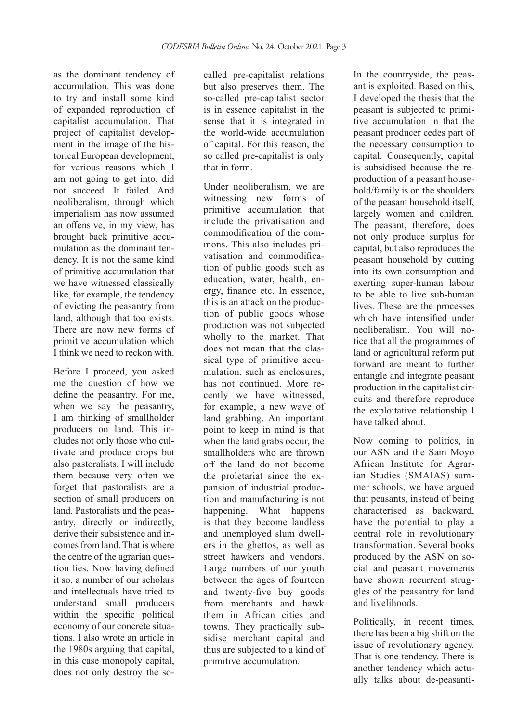as the dominant tendency of accumulation. This was done to try and install some kind of expanded reproduction of capitalist accumulation. That project of capitalist development in the image of the historical European development, for various reasons which I am not going to get into, did not succeed. It failed. And neoliberalism, through which imperialism has now assumed an offensive, in my view, has brought back primitive accumulation as the dominant tendency. It is not the same kind of primitive accumulation that we have witnessed classically like, for example, the tendency of evicting the peasantry from land, although that too exists. There are now new forms of primitive accumulation which I think we need to reckon with.

Before I proceed, you asked me the question of how we define the peasantry. For me, when we say the peasantry, I am thinking of smallholder producers on land. This includes not only those who cultivate and produce crops but also pastoralists. I will include them because very often we forget that pastoralists are a section of small producers on land. Pastoralists and the peasantry, directly or indirectly, derive their subsistence and incomes from land. That is where the centre of the agrarian question lies. Now having defined it so, a number of our scholars and intellectuals have tried to understand small producers within the specific political economy of our concrete situations. I also wrote an article in the 1980s arguing that capital, in this case monopoly capital, does not only destroy the socalled pre-capitalist relations but also preserves them. The so-called pre-capitalist sector is in essence capitalist in the sense that it is integrated in the world-wide accumulation of capital. For this reason, the so called pre-capitalist is only that in form.

Under neoliberalism, we are witnessing new forms of primitive accumulation that include the privatisation and commodification of the commons. This also includes privatisation and commodification of public goods such as education, water, health, energy, finance etc. In essence, this is an attack on the production of public goods whose production was not subjected wholly to the market. That does not mean that the classical type of primitive accumulation, such as enclosures, has not continued. More recently we have witnessed, for example, a new wave of land grabbing. An important point to keep in mind is that when the land grabs occur, the smallholders who are thrown off the land do not become the proletariat since the expansion of industrial production and manufacturing is not happening. What happens is that they become landless and unemployed slum dwellers in the ghettos, as well as street hawkers and vendors. Large numbers of our youth between the ages of fourteen and twenty-five buy goods from merchants and hawk them in African cities and towns. They practically subsidise merchant capital and thus are subjected to a kind of primitive accumulation.

In the countryside, the peasant is exploited. Based on this, I developed the thesis that the peasant is subjected to primitive accumulation in that the peasant producer cedes part of the necessary consumption to capital. Consequently, capital is subsidised because the reproduction of a peasant household/family is on the shoulders of the peasant household itself, largely women and children. The peasant, therefore, does not only produce surplus for capital, but also reproduces the peasant household by cutting into its own consumption and exerting super-human labour to be able to live sub-human lives. These are the processes which have intensified under neoliberalism. You will notice that all the programmes of land or agricultural reform put forward are meant to further entangle and integrate peasant production in the capitalist circuits and therefore reproduce the exploitative relationship I have talked about.

Now coming to politics, in our ASN and the Sam Moyo African Institute for Agrarian Studies (SMAIAS) summer schools, we have argued that peasants, instead of being characterised as backward, have the potential to play a central role in revolutionary transformation. Several books produced by the ASN on social and peasant movements have shown recurrent struggles of the peasantry for land and livelihoods.

Politically, in recent times, there has been a big shift on the issue of revolutionary agency. That is one tendency. There is another tendency which actually talks about de-peasanti-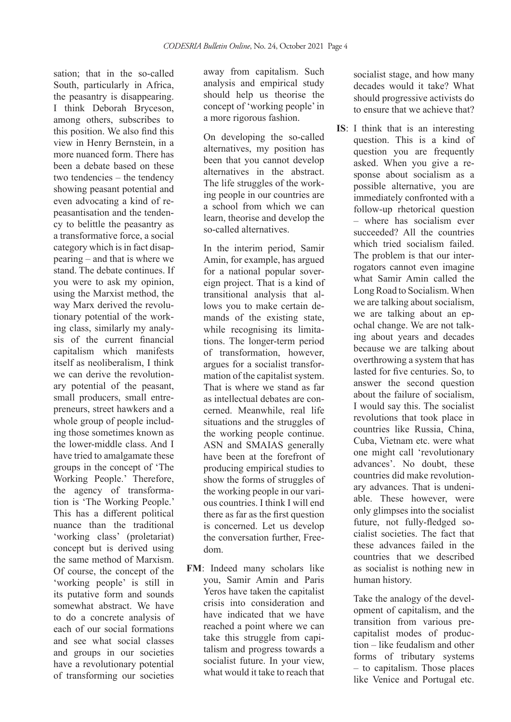sation; that in the so-called South, particularly in Africa, the peasantry is disappearing. I think Deborah Bryceson, among others, subscribes to this position. We also find this view in Henry Bernstein, in a more nuanced form. There has been a debate based on these two tendencies – the tendency showing peasant potential and even advocating a kind of repeasantisation and the tendency to belittle the peasantry as a transformative force, a social category which is in fact disappearing – and that is where we stand. The debate continues. If you were to ask my opinion, using the Marxist method, the way Marx derived the revolutionary potential of the working class, similarly my analysis of the current financial capitalism which manifests itself as neoliberalism, I think we can derive the revolutionary potential of the peasant, small producers, small entrepreneurs, street hawkers and a whole group of people including those sometimes known as the lower-middle class. And I have tried to amalgamate these groups in the concept of 'The Working People.' Therefore, the agency of transformation is 'The Working People.' This has a different political nuance than the traditional 'working class' (proletariat) concept but is derived using the same method of Marxism. Of course, the concept of the 'working people' is still in its putative form and sounds somewhat abstract. We have to do a concrete analysis of each of our social formations and see what social classes and groups in our societies have a revolutionary potential of transforming our societies

away from capitalism. Such analysis and empirical study should help us theorise the concept of 'working people' in a more rigorous fashion.

On developing the so-called alternatives, my position has been that you cannot develop alternatives in the abstract. The life struggles of the working people in our countries are a school from which we can learn, theorise and develop the so-called alternatives.

In the interim period, Samir Amin, for example, has argued for a national popular sovereign project. That is a kind of transitional analysis that allows you to make certain demands of the existing state, while recognising its limitations. The longer-term period of transformation, however, argues for a socialist transformation of the capitalist system. That is where we stand as far as intellectual debates are concerned. Meanwhile, real life situations and the struggles of the working people continue. ASN and SMAIAS generally have been at the forefront of producing empirical studies to show the forms of struggles of the working people in our various countries. I think I will end there as far as the first question is concerned. Let us develop the conversation further, Freedom.

**FM**: Indeed many scholars like you, Samir Amin and Paris Yeros have taken the capitalist crisis into consideration and have indicated that we have reached a point where we can take this struggle from capitalism and progress towards a socialist future. In your view, what would it take to reach that

socialist stage, and how many decades would it take? What should progressive activists do to ensure that we achieve that?

**IS**: I think that is an interesting question. This is a kind of question you are frequently asked. When you give a response about socialism as a possible alternative, you are immediately confronted with a follow-up rhetorical question – where has socialism ever succeeded? All the countries which tried socialism failed. The problem is that our interrogators cannot even imagine what Samir Amin called the Long Road to Socialism. When we are talking about socialism, we are talking about an epochal change. We are not talking about years and decades because we are talking about overthrowing a system that has lasted for five centuries. So, to answer the second question about the failure of socialism, I would say this. The socialist revolutions that took place in countries like Russia, China, Cuba, Vietnam etc. were what one might call 'revolutionary advances'. No doubt, these countries did make revolutionary advances. That is undeniable. These however, were only glimpses into the socialist future, not fully-fledged socialist societies. The fact that these advances failed in the countries that we described as socialist is nothing new in human history.

> Take the analogy of the development of capitalism, and the transition from various precapitalist modes of production – like feudalism and other forms of tributary systems – to capitalism. Those places like Venice and Portugal etc.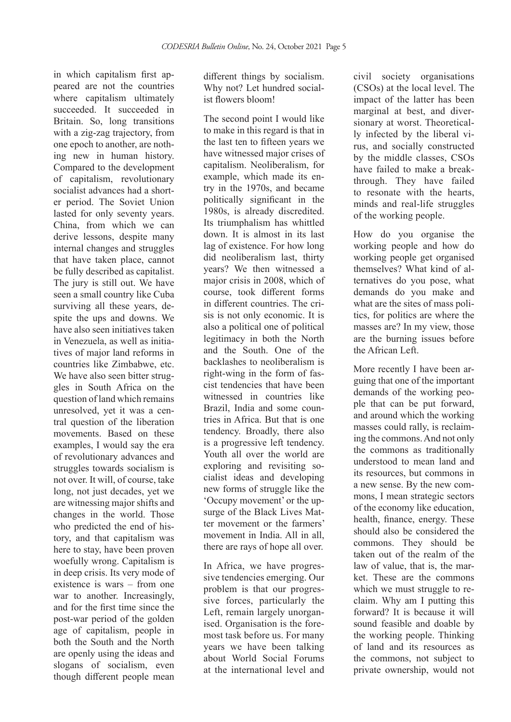in which capitalism first appeared are not the countries where capitalism ultimately succeeded. It succeeded in Britain. So, long transitions with a zig-zag trajectory, from one epoch to another, are nothing new in human history. Compared to the development of capitalism, revolutionary socialist advances had a shorter period. The Soviet Union lasted for only seventy years. China, from which we can derive lessons, despite many internal changes and struggles that have taken place, cannot be fully described as capitalist. The jury is still out. We have seen a small country like Cuba surviving all these years, despite the ups and downs. We have also seen initiatives taken in Venezuela, as well as initiatives of major land reforms in countries like Zimbabwe, etc. We have also seen bitter struggles in South Africa on the question of land which remains unresolved, yet it was a central question of the liberation movements. Based on these examples, I would say the era of revolutionary advances and struggles towards socialism is not over. It will, of course, take long, not just decades, yet we are witnessing major shifts and changes in the world. Those who predicted the end of history, and that capitalism was here to stay, have been proven woefully wrong. Capitalism is in deep crisis. Its very mode of existence is wars – from one war to another. Increasingly, and for the first time since the post-war period of the golden age of capitalism, people in both the South and the North are openly using the ideas and slogans of socialism, even though different people mean

different things by socialism. Why not? Let hundred socialist flowers bloom!

The second point I would like to make in this regard is that in the last ten to fifteen years we have witnessed major crises of capitalism. Neoliberalism, for example, which made its entry in the 1970s, and became politically significant in the 1980s, is already discredited. Its triumphalism has whittled down. It is almost in its last lag of existence. For how long did neoliberalism last, thirty years? We then witnessed a major crisis in 2008, which of course, took different forms in different countries. The crisis is not only economic. It is also a political one of political legitimacy in both the North and the South. One of the backlashes to neoliberalism is right-wing in the form of fascist tendencies that have been witnessed in countries like Brazil, India and some countries in Africa. But that is one tendency. Broadly, there also is a progressive left tendency. Youth all over the world are exploring and revisiting socialist ideas and developing new forms of struggle like the 'Occupy movement' or the upsurge of the Black Lives Matter movement or the farmers' movement in India. All in all, there are rays of hope all over.

In Africa, we have progressive tendencies emerging. Our problem is that our progressive forces, particularly the Left, remain largely unorganised. Organisation is the foremost task before us. For many years we have been talking about World Social Forums at the international level and

civil society organisations (CSOs) at the local level. The impact of the latter has been marginal at best, and diversionary at worst. Theoretically infected by the liberal virus, and socially constructed by the middle classes, CSOs have failed to make a breakthrough. They have failed to resonate with the hearts, minds and real-life struggles of the working people.

How do you organise the working people and how do working people get organised themselves? What kind of alternatives do you pose, what demands do you make and what are the sites of mass politics, for politics are where the masses are? In my view, those are the burning issues before the African Left.

More recently I have been arguing that one of the important demands of the working people that can be put forward, and around which the working masses could rally, is reclaiming the commons. And not only the commons as traditionally understood to mean land and its resources, but commons in a new sense. By the new commons, I mean strategic sectors of the economy like education, health, finance, energy. These should also be considered the commons. They should be taken out of the realm of the law of value, that is, the market. These are the commons which we must struggle to reclaim. Why am I putting this forward? It is because it will sound feasible and doable by the working people. Thinking of land and its resources as the commons, not subject to private ownership, would not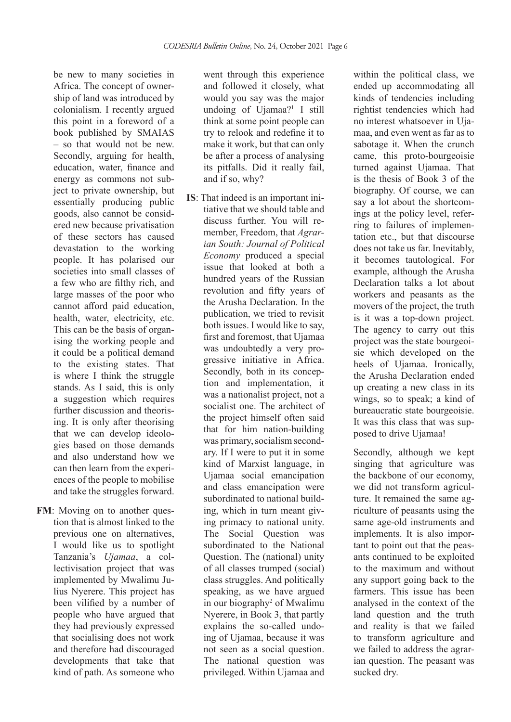be new to many societies in Africa. The concept of ownership of land was introduced by colonialism. I recently argued this point in a foreword of a book published by SMAIAS – so that would not be new. Secondly, arguing for health, education, water, finance and energy as commons not subject to private ownership, but essentially producing public goods, also cannot be considered new because privatisation of these sectors has caused devastation to the working people. It has polarised our societies into small classes of a few who are filthy rich, and large masses of the poor who cannot afford paid education, health, water, electricity, etc. This can be the basis of organising the working people and it could be a political demand to the existing states. That is where I think the struggle stands. As I said, this is only a suggestion which requires further discussion and theorising. It is only after theorising that we can develop ideologies based on those demands and also understand how we can then learn from the experiences of the people to mobilise and take the struggles forward.

**FM**: Moving on to another question that is almost linked to the previous one on alternatives, I would like us to spotlight Tanzania's *Ujamaa*, a collectivisation project that was implemented by Mwalimu Julius Nyerere. This project has been vilified by a number of people who have argued that they had previously expressed that socialising does not work and therefore had discouraged developments that take that kind of path. As someone who

went through this experience and followed it closely, what would you say was the major undoing of Ujamaa?<sup>1</sup> I still think at some point people can try to relook and redefine it to make it work, but that can only be after a process of analysing its pitfalls. Did it really fail, and if so, why?

**IS**: That indeed is an important initiative that we should table and discuss further. You will remember, Freedom, that *Agrarian South: Journal of Political Economy* produced a special issue that looked at both a hundred years of the Russian revolution and fifty years of the Arusha Declaration. In the publication, we tried to revisit both issues. I would like to say, first and foremost, that Ujamaa was undoubtedly a very progressive initiative in Africa. Secondly, both in its conception and implementation, it was a nationalist project, not a socialist one. The architect of the project himself often said that for him nation-building was primary, socialism secondary. If I were to put it in some kind of Marxist language, in Ujamaa social emancipation and class emancipation were subordinated to national building, which in turn meant giving primacy to national unity. The Social Question was subordinated to the National Question. The (national) unity of all classes trumped (social) class struggles. And politically speaking, as we have argued in our biography<sup>2</sup> of Mwalimu Nyerere, in Book 3, that partly explains the so-called undoing of Ujamaa, because it was not seen as a social question. The national question was privileged. Within Ujamaa and

within the political class, we ended up accommodating all kinds of tendencies including rightist tendencies which had no interest whatsoever in Ujamaa, and even went as far as to sabotage it. When the crunch came, this proto-bourgeoisie turned against Ujamaa. That is the thesis of Book 3 of the biography. Of course, we can say a lot about the shortcomings at the policy level, referring to failures of implementation etc., but that discourse does not take us far. Inevitably, it becomes tautological. For example, although the Arusha Declaration talks a lot about workers and peasants as the movers of the project, the truth is it was a top-down project. The agency to carry out this project was the state bourgeoisie which developed on the heels of Ujamaa. Ironically, the Arusha Declaration ended up creating a new class in its wings, so to speak; a kind of bureaucratic state bourgeoisie. It was this class that was supposed to drive Ujamaa!

Secondly, although we kept singing that agriculture was the backbone of our economy, we did not transform agriculture. It remained the same agriculture of peasants using the same age-old instruments and implements. It is also important to point out that the peasants continued to be exploited to the maximum and without any support going back to the farmers. This issue has been analysed in the context of the land question and the truth and reality is that we failed to transform agriculture and we failed to address the agrarian question. The peasant was sucked dry.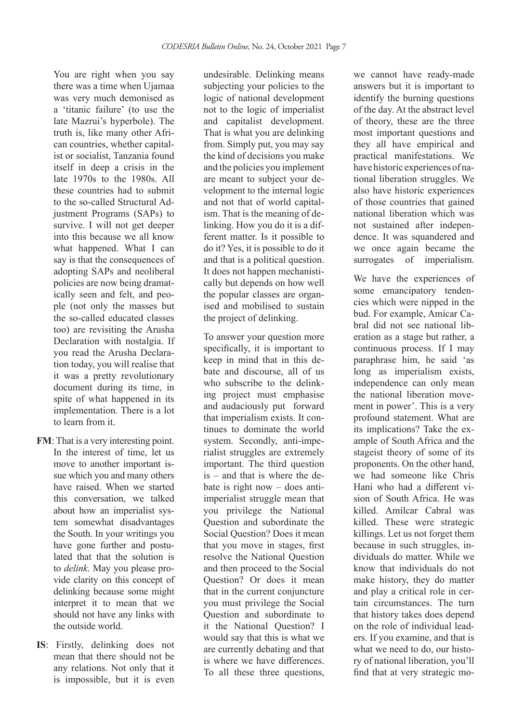You are right when you say there was a time when Ujamaa was very much demonised as a 'titanic failure' (to use the late Mazrui's hyperbole). The truth is, like many other African countries, whether capitalist or socialist, Tanzania found itself in deep a crisis in the late 1970s to the 1980s. All these countries had to submit to the so-called Structural Adjustment Programs (SAPs) to survive. I will not get deeper into this because we all know what happened. What I can say is that the consequences of adopting SAPs and neoliberal policies are now being dramatically seen and felt, and people (not only the masses but the so-called educated classes too) are revisiting the Arusha Declaration with nostalgia. If you read the Arusha Declaration today, you will realise that it was a pretty revolutionary document during its time, in spite of what happened in its implementation. There is a lot to learn from it.

- **FM**: That is a very interesting point. In the interest of time, let us move to another important issue which you and many others have raised. When we started this conversation, we talked about how an imperialist system somewhat disadvantages the South. In your writings you have gone further and postulated that that the solution is to *delink*. May you please provide clarity on this concept of delinking because some might interpret it to mean that we should not have any links with the outside world.
- **IS**: Firstly, delinking does not mean that there should not be any relations. Not only that it is impossible, but it is even

undesirable. Delinking means subjecting your policies to the logic of national development not to the logic of imperialist and capitalist development. That is what you are delinking from. Simply put, you may say the kind of decisions you make and the policies you implement are meant to subject your development to the internal logic and not that of world capitalism. That is the meaning of delinking. How you do it is a different matter. Is it possible to do it? Yes, it is possible to do it and that is a political question. It does not happen mechanistically but depends on how well the popular classes are organised and mobilised to sustain the project of delinking.

To answer your question more specifically, it is important to keep in mind that in this debate and discourse, all of us who subscribe to the delinking project must emphasise and audaciously put forward that imperialism exists. It continues to dominate the world system. Secondly, anti-imperialist struggles are extremely important. The third question is – and that is where the debate is right now – does antiimperialist struggle mean that you privilege the National Question and subordinate the Social Question? Does it mean that you move in stages, first resolve the National Question and then proceed to the Social Question? Or does it mean that in the current conjuncture you must privilege the Social Question and subordinate to it the National Question? I would say that this is what we are currently debating and that is where we have differences. To all these three questions,

we cannot have ready-made answers but it is important to identify the burning questions of the day. At the abstract level of theory, these are the three most important questions and they all have empirical and practical manifestations. We have historic experiences of national liberation struggles. We also have historic experiences of those countries that gained national liberation which was not sustained after independence. It was squandered and we once again became the surrogates of imperialism.

We have the experiences of some emancipatory tendencies which were nipped in the bud. For example, Amícar Cabral did not see national liberation as a stage but rather, a continuous process. If I may paraphrase him, he said 'as long as imperialism exists, independence can only mean the national liberation movement in power'. This is a very profound statement. What are its implications? Take the example of South Africa and the stageist theory of some of its proponents. On the other hand, we had someone like Chris Hani who had a different vision of South Africa. He was killed. Amílcar Cabral was killed. These were strategic killings. Let us not forget them because in such struggles, individuals do matter. While we know that individuals do not make history, they do matter and play a critical role in certain circumstances. The turn that history takes does depend on the role of individual leaders. If you examine, and that is what we need to do, our history of national liberation, you'll find that at very strategic mo-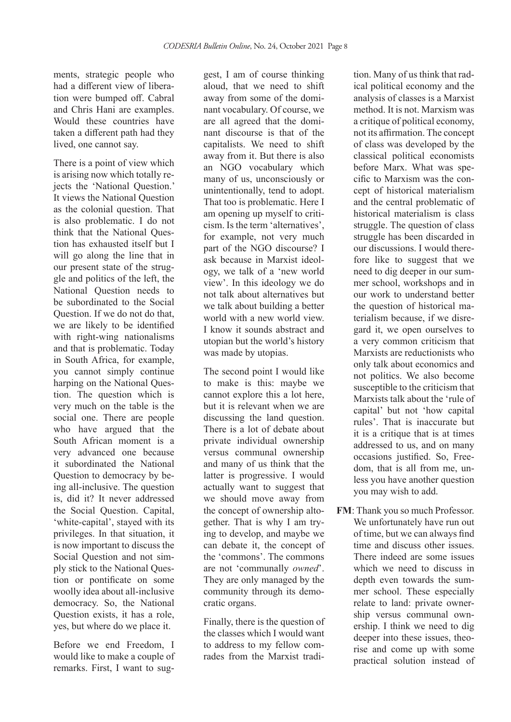ments, strategic people who had a different view of liberation were bumped off. Cabral and Chris Hani are examples. Would these countries have taken a different path had they lived, one cannot say.

There is a point of view which is arising now which totally rejects the 'National Question.' It views the National Question as the colonial question. That is also problematic. I do not think that the National Question has exhausted itself but I will go along the line that in our present state of the struggle and politics of the left, the National Question needs to be subordinated to the Social Question. If we do not do that, we are likely to be identified with right-wing nationalisms and that is problematic. Today in South Africa, for example, you cannot simply continue harping on the National Question. The question which is very much on the table is the social one. There are people who have argued that the South African moment is a very advanced one because it subordinated the National Question to democracy by being all-inclusive. The question is, did it? It never addressed the Social Question. Capital, 'white-capital', stayed with its privileges. In that situation, it is now important to discuss the Social Question and not simply stick to the National Question or pontificate on some woolly idea about all-inclusive democracy. So, the National Question exists, it has a role, yes, but where do we place it.

Before we end Freedom, I would like to make a couple of remarks. First, I want to suggest, I am of course thinking aloud, that we need to shift away from some of the dominant vocabulary. Of course, we are all agreed that the dominant discourse is that of the capitalists. We need to shift away from it. But there is also an NGO vocabulary which many of us, unconsciously or unintentionally, tend to adopt. That too is problematic. Here I am opening up myself to criticism. Is the term 'alternatives', for example, not very much part of the NGO discourse? I ask because in Marxist ideology, we talk of a 'new world view'. In this ideology we do not talk about alternatives but we talk about building a better world with a new world view. I know it sounds abstract and utopian but the world's history was made by utopias.

The second point I would like to make is this: maybe we cannot explore this a lot here, but it is relevant when we are discussing the land question. There is a lot of debate about private individual ownership versus communal ownership and many of us think that the latter is progressive. I would actually want to suggest that we should move away from the concept of ownership altogether. That is why I am trying to develop, and maybe we can debate it, the concept of the 'commons'. The commons are not 'communally *owned*'. They are only managed by the community through its democratic organs.

Finally, there is the question of the classes which I would want to address to my fellow comrades from the Marxist tradi-

tion. Many of us think that radical political economy and the analysis of classes is a Marxist method. It is not. Marxism was a critique of political economy, not its affirmation. The concept of class was developed by the classical political economists before Marx. What was specific to Marxism was the concept of historical materialism and the central problematic of historical materialism is class struggle. The question of class struggle has been discarded in our discussions. I would therefore like to suggest that we need to dig deeper in our summer school, workshops and in our work to understand better the question of historical materialism because, if we disregard it, we open ourselves to a very common criticism that Marxists are reductionists who only talk about economics and not politics. We also become susceptible to the criticism that Marxists talk about the 'rule of capital' but not 'how capital rules'. That is inaccurate but it is a critique that is at times addressed to us, and on many occasions justified. So, Freedom, that is all from me, unless you have another question you may wish to add.

**FM**: Thank you so much Professor. We unfortunately have run out of time, but we can always find time and discuss other issues. There indeed are some issues which we need to discuss in depth even towards the summer school. These especially relate to land: private ownership versus communal ownership. I think we need to dig deeper into these issues, theorise and come up with some practical solution instead of